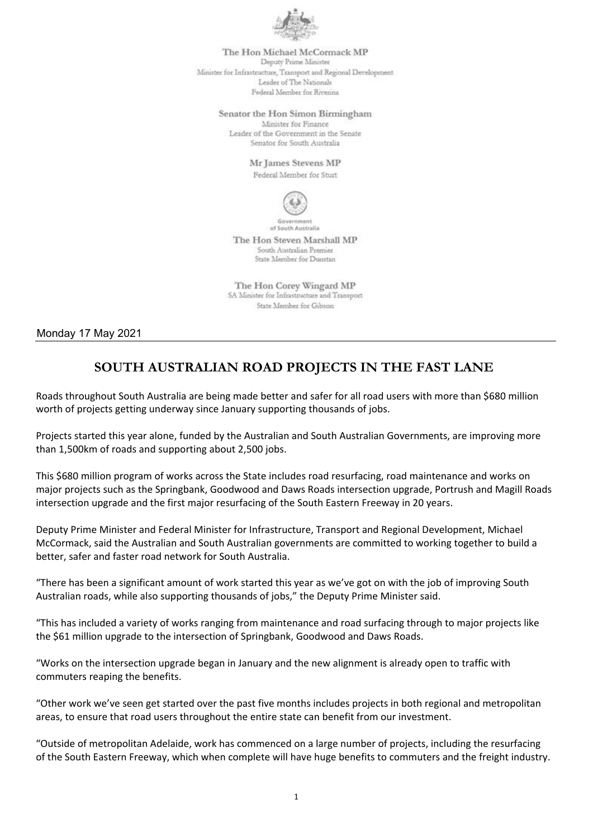

The Hon Michael McCormack MP Deputy Prime Minister Minister for Infrastructure, Transport and Regional Development Leader of The Nationals Federal Member for Rivenina

Senator the Hon Simon Birmingham

Minister for Finance Leader of the Government in the Senate Senator for South Australia

Mr James Stevens MP

Federal Member for Sturt



of South Australia The Hon Steven Marshall MP

South Australian Premier State Member for Dunstan

The Hon Corey Wingard MP SA Minister for Infrastructure and Transport State Member for Gibson

Monday 17 May 2021

## **SOUTH AUSTRALIAN ROAD PROJECTS IN THE FAST LANE**

Roads throughout South Australia are being made better and safer for all road users with more than \$680 million worth of projects getting underway since January supporting thousands of jobs.

Projects started this year alone, funded by the Australian and South Australian Governments, are improving more than 1,500km of roads and supporting about 2,500 jobs.

This \$680 million program of works across the State includes road resurfacing, road maintenance and works on major projects such as the Springbank, Goodwood and Daws Roads intersection upgrade, Portrush and Magill Roads intersection upgrade and the first major resurfacing of the South Eastern Freeway in 20 years.

Deputy Prime Minister and Federal Minister for Infrastructure, Transport and Regional Development, Michael McCormack, said the Australian and South Australian governments are committed to working together to build a better, safer and faster road network for South Australia.

"There has been a significant amount of work started this year as we've got on with the job of improving South Australian roads, while also supporting thousands of jobs," the Deputy Prime Minister said.

"This has included a variety of works ranging from maintenance and road surfacing through to major projects like the \$61 million upgrade to the intersection of Springbank, Goodwood and Daws Roads.

"Works on the intersection upgrade began in January and the new alignment is already open to traffic with commuters reaping the benefits.

"Other work we've seen get started over the past five months includes projects in both regional and metropolitan areas, to ensure that road users throughout the entire state can benefit from our investment.

"Outside of metropolitan Adelaide, work has commenced on a large number of projects, including the resurfacing of the South Eastern Freeway, which when complete will have huge benefits to commuters and the freight industry.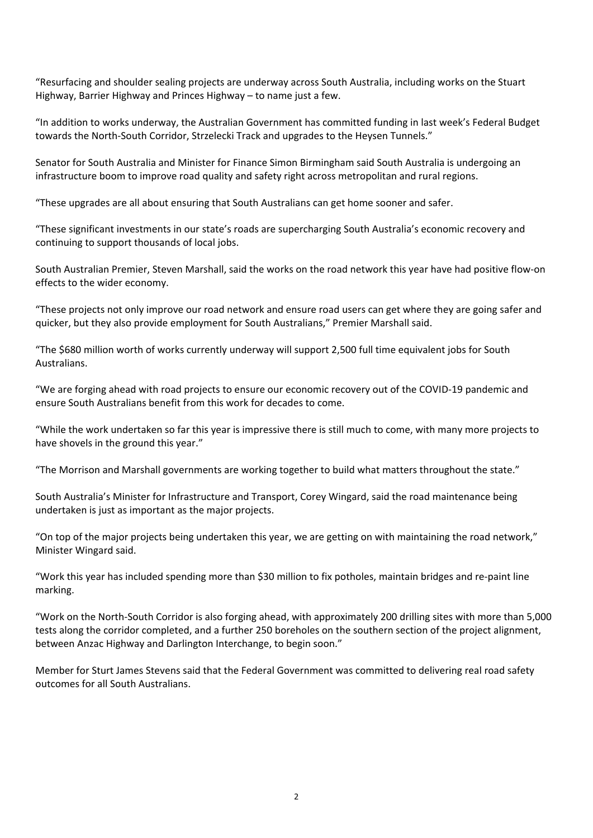"Resurfacing and shoulder sealing projects are underway across South Australia, including works on the Stuart Highway, Barrier Highway and Princes Highway – to name just a few.

"In addition to works underway, the Australian Government has committed funding in last week's Federal Budget towards the North-South Corridor, Strzelecki Track and upgrades to the Heysen Tunnels."

Senator for South Australia and Minister for Finance Simon Birmingham said South Australia is undergoing an infrastructure boom to improve road quality and safety right across metropolitan and rural regions.

"These upgrades are all about ensuring that South Australians can get home sooner and safer.

"These significant investments in our state's roads are supercharging South Australia's economic recovery and continuing to support thousands of local jobs.

South Australian Premier, Steven Marshall, said the works on the road network this year have had positive flow‐on effects to the wider economy.

"These projects not only improve our road network and ensure road users can get where they are going safer and quicker, but they also provide employment for South Australians," Premier Marshall said.

"The \$680 million worth of works currently underway will support 2,500 full time equivalent jobs for South Australians.

"We are forging ahead with road projects to ensure our economic recovery out of the COVID‐19 pandemic and ensure South Australians benefit from this work for decades to come.

"While the work undertaken so far this year is impressive there is still much to come, with many more projects to have shovels in the ground this year."

"The Morrison and Marshall governments are working together to build what matters throughout the state."

South Australia's Minister for Infrastructure and Transport, Corey Wingard, said the road maintenance being undertaken is just as important as the major projects.

"On top of the major projects being undertaken this year, we are getting on with maintaining the road network," Minister Wingard said.

"Work this year has included spending more than \$30 million to fix potholes, maintain bridges and re‐paint line marking.

"Work on the North‐South Corridor is also forging ahead, with approximately 200 drilling sites with more than 5,000 tests along the corridor completed, and a further 250 boreholes on the southern section of the project alignment, between Anzac Highway and Darlington Interchange, to begin soon."

Member for Sturt James Stevens said that the Federal Government was committed to delivering real road safety outcomes for all South Australians.